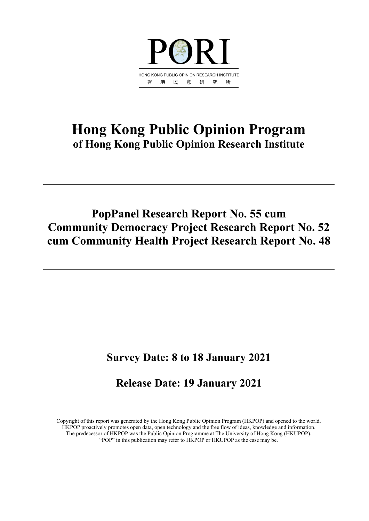

# **Hong Kong Public Opinion Program of Hong Kong Public Opinion Research Institute**

# **PopPanel Research Report No. 55 cum Community Democracy Project Research Report No. 52 cum Community Health Project Research Report No. 48**

# **Survey Date: 8 to 18 January 2021**

# **Release Date: 19 January 2021**

Copyright of this report was generated by the Hong Kong Public Opinion Program (HKPOP) and opened to the world. HKPOP proactively promotes open data, open technology and the free flow of ideas, knowledge and information. The predecessor of HKPOP was the Public Opinion Programme at The University of Hong Kong (HKUPOP). "POP" in this publication may refer to HKPOP or HKUPOP as the case may be.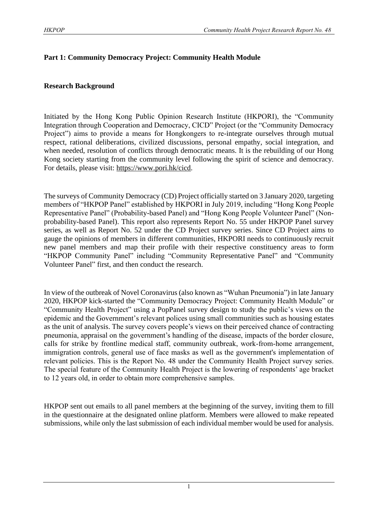#### **Part 1: Community Democracy Project: Community Health Module**

#### **Research Background**

Initiated by the Hong Kong Public Opinion Research Institute (HKPORI), the "Community Integration through Cooperation and Democracy, CICD" Project (or the "Community Democracy Project") aims to provide a means for Hongkongers to re-integrate ourselves through mutual respect, rational deliberations, civilized discussions, personal empathy, social integration, and when needed, resolution of conflicts through democratic means. It is the rebuilding of our Hong Kong society starting from the community level following the spirit of science and democracy. For details, please visit: [https://www.pori.hk/cicd.](https://www.pori.hk/cicd)

The surveys of Community Democracy (CD) Project officially started on 3 January 2020, targeting members of "HKPOP Panel" established by HKPORI in July 2019, including "Hong Kong People Representative Panel" (Probability-based Panel) and "Hong Kong People Volunteer Panel" (Nonprobability-based Panel). This report also represents Report No. 55 under HKPOP Panel survey series, as well as Report No. 52 under the CD Project survey series. Since CD Project aims to gauge the opinions of members in different communities, HKPORI needs to continuously recruit new panel members and map their profile with their respective constituency areas to form "HKPOP Community Panel" including "Community Representative Panel" and "Community Volunteer Panel" first, and then conduct the research.

In view of the outbreak of Novel Coronavirus (also known as "Wuhan Pneumonia") in late January 2020, HKPOP kick-started the "Community Democracy Project: Community Health Module" or "Community Health Project" using a PopPanel survey design to study the public's views on the epidemic and the Government's relevant polices using small communities such as housing estates as the unit of analysis. The survey covers people's views on their perceived chance of contracting pneumonia, appraisal on the government's handling of the disease, impacts of the border closure, calls for strike by frontline medical staff, community outbreak, work-from-home arrangement, immigration controls, general use of face masks as well as the government's implementation of relevant policies. This is the Report No. 48 under the Community Health Project survey series. The special feature of the Community Health Project is the lowering of respondents' age bracket to 12 years old, in order to obtain more comprehensive samples.

HKPOP sent out emails to all panel members at the beginning of the survey, inviting them to fill in the questionnaire at the designated online platform. Members were allowed to make repeated submissions, while only the last submission of each individual member would be used for analysis.

1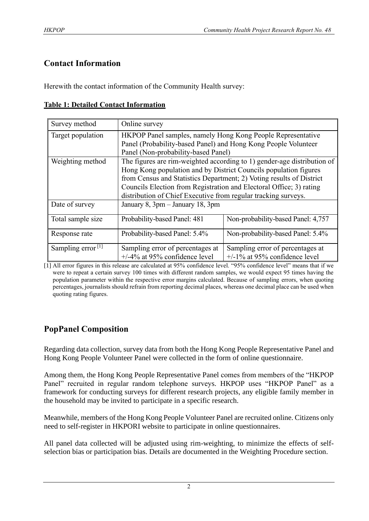# **Contact Information**

Herewith the contact information of the Community Health survey:

| Survey method                 | Online survey                                                        |                                                                         |  |  |  |  |  |  |
|-------------------------------|----------------------------------------------------------------------|-------------------------------------------------------------------------|--|--|--|--|--|--|
| Target population             | HKPOP Panel samples, namely Hong Kong People Representative          |                                                                         |  |  |  |  |  |  |
|                               | Panel (Probability-based Panel) and Hong Kong People Volunteer       |                                                                         |  |  |  |  |  |  |
|                               | Panel (Non-probability-based Panel)                                  |                                                                         |  |  |  |  |  |  |
| Weighting method              |                                                                      | The figures are rim-weighted according to 1) gender-age distribution of |  |  |  |  |  |  |
|                               | Hong Kong population and by District Councils population figures     |                                                                         |  |  |  |  |  |  |
|                               | from Census and Statistics Department; 2) Voting results of District |                                                                         |  |  |  |  |  |  |
|                               | Councils Election from Registration and Electoral Office; 3) rating  |                                                                         |  |  |  |  |  |  |
|                               | distribution of Chief Executive from regular tracking surveys.       |                                                                         |  |  |  |  |  |  |
| Date of survey                | January 8, 3pm - January 18, 3pm                                     |                                                                         |  |  |  |  |  |  |
| Total sample size             | Probability-based Panel: 481                                         | Non-probability-based Panel: 4,757                                      |  |  |  |  |  |  |
| Response rate                 | Probability-based Panel: 5.4%                                        | Non-probability-based Panel: 5.4%                                       |  |  |  |  |  |  |
| Sampling error <sup>[1]</sup> | Sampling error of percentages at                                     | Sampling error of percentages at                                        |  |  |  |  |  |  |
|                               | $+/-4\%$ at 95% confidence level                                     | $+/-1\%$ at 95% confidence level                                        |  |  |  |  |  |  |

[1] All error figures in this release are calculated at 95% confidence level. "95% confidence level" means that if we were to repeat a certain survey 100 times with different random samples, we would expect 95 times having the population parameter within the respective error margins calculated. Because of sampling errors, when quoting percentages, journalists should refrain from reporting decimal places, whereas one decimal place can be used when quoting rating figures.

# **PopPanel Composition**

Regarding data collection, survey data from both the Hong Kong People Representative Panel and Hong Kong People Volunteer Panel were collected in the form of online questionnaire.

Among them, the Hong Kong People Representative Panel comes from members of the "HKPOP Panel" recruited in regular random telephone surveys. HKPOP uses "HKPOP Panel" as a framework for conducting surveys for different research projects, any eligible family member in the household may be invited to participate in a specific research.

Meanwhile, members of the Hong Kong People Volunteer Panel are recruited online. Citizens only need to self-register in HKPORI website to participate in online questionnaires.

All panel data collected will be adjusted using rim-weighting, to minimize the effects of selfselection bias or participation bias. Details are documented in the Weighting Procedure section.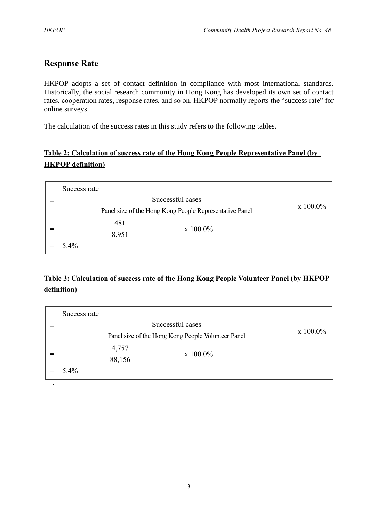# **Response Rate**

HKPOP adopts a set of contact definition in compliance with most international standards. Historically, the social research community in Hong Kong has developed its own set of contact rates, cooperation rates, response rates, and so on. HKPOP normally reports the "success rate" for online surveys.

The calculation of the success rates in this study refers to the following tables.

# **Table 2: Calculation of success rate of the Hong Kong People Representative Panel (by HKPOP definition)**

| Success rate |                                                         |             |
|--------------|---------------------------------------------------------|-------------|
|              | Successful cases                                        |             |
|              | Panel size of the Hong Kong People Representative Panel | $x 100.0\%$ |
| 481          |                                                         |             |
| 8,951        | x 100.0%                                                |             |
| 5.4%         |                                                         |             |

# **Table 3: Calculation of success rate of the Hong Kong People Volunteer Panel (by HKPOP definition)**

| Success rate |        |                                                    |          |
|--------------|--------|----------------------------------------------------|----------|
|              |        | Successful cases                                   |          |
|              |        | Panel size of the Hong Kong People Volunteer Panel | x 100.0% |
|              | 4,757  |                                                    |          |
|              | 88,156 | x 100.0%                                           |          |
| 5.4%         |        |                                                    |          |
|              |        |                                                    |          |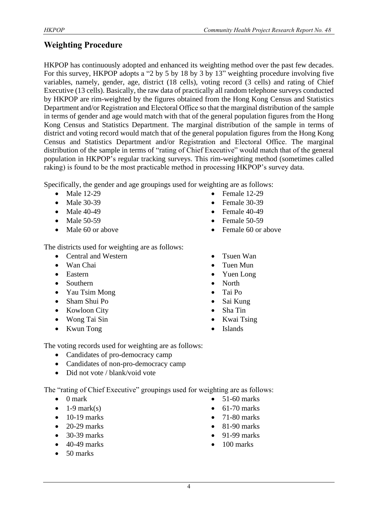# **Weighting Procedure**

HKPOP has continuously adopted and enhanced its weighting method over the past few decades. For this survey, HKPOP adopts a "2 by 5 by 18 by 3 by 13" weighting procedure involving five variables, namely, gender, age, district (18 cells), voting record (3 cells) and rating of Chief Executive (13 cells). Basically, the raw data of practically all random telephone surveys conducted by HKPOP are rim-weighted by the figures obtained from the Hong Kong Census and Statistics Department and/or Registration and Electoral Office so that the marginal distribution of the sample in terms of gender and age would match with that of the general population figures from the Hong Kong Census and Statistics Department. The marginal distribution of the sample in terms of district and voting record would match that of the general population figures from the Hong Kong Census and Statistics Department and/or Registration and Electoral Office. The marginal distribution of the sample in terms of "rating of Chief Executive" would match that of the general population in HKPOP's regular tracking surveys. This rim-weighting method (sometimes called raking) is found to be the most practicable method in processing HKPOP's survey data.

Specifically, the gender and age groupings used for weighting are as follows:

- Male 12-29
- Male 30-39
- Male 40-49
- Male 50-59
- Male 60 or above

The districts used for weighting are as follows:

- Central and Western
- Wan Chai
- Eastern
- Southern
- Yau Tsim Mong
- Sham Shui Po
- Kowloon City
- Wong Tai Sin
- Kwun Tong
- Female 12-29
- Female 30-39
- Female 40-49
- Female 50-59
- Female 60 or above
- Tsuen Wan
- Tuen Mun
- Yuen Long
- North
- Tai Po
- Sai Kung
- Sha Tin
- Kwai Tsing
- **Islands**

The voting records used for weighting are as follows:

- Candidates of pro-democracy camp
- Candidates of non-pro-democracy camp
- Did not vote / blank/void vote

The "rating of Chief Executive" groupings used for weighting are as follows:

- 0 mark
- $\bullet$  1-9 mark(s)
- $\bullet$  10-19 marks
- $\bullet$  20-29 marks
- 30-39 marks
- 40-49 marks
- 50 marks
- $\bullet$  51-60 marks
- $\bullet$  61-70 marks
- 71-80 marks
- $\bullet$  81-90 marks
- 91-99 marks
- 100 marks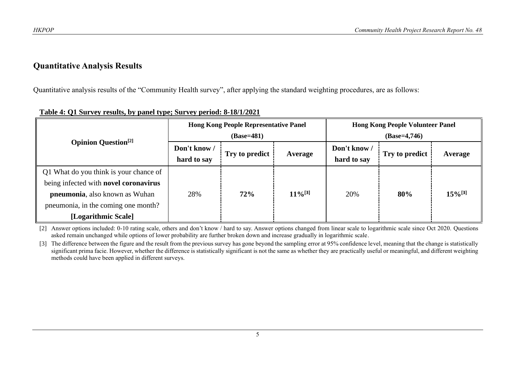#### **Quantitative Analysis Results**

Quantitative analysis results of the "Community Health survey", after applying the standard weighting procedures, are as follows:

|                                                                       |                             | <b>Hong Kong People Representative Panel</b><br>$(Base=481)$ |                       | <b>Hong Kong People Volunteer Panel</b><br>$(Base=4,746)$ |     |                       |  |
|-----------------------------------------------------------------------|-----------------------------|--------------------------------------------------------------|-----------------------|-----------------------------------------------------------|-----|-----------------------|--|
| <b>Opinion Question</b> <sup>[2]</sup>                                | Don't know /<br>hard to say | Try to predict<br>Average                                    |                       | Don't know /<br>Try to predict<br>hard to say             |     | Average               |  |
| Q1 What do you think is your chance of                                |                             |                                                              |                       |                                                           |     | $15\%$ <sup>[3]</sup> |  |
| being infected with novel coronavirus                                 |                             |                                                              | $11\%$ <sup>[3]</sup> |                                                           |     |                       |  |
| pneumonia, also known as Wuhan<br>pneumonia, in the coming one month? | 72%<br>28%                  |                                                              |                       | 20%                                                       | 80% |                       |  |
| [Logarithmic Scale]                                                   |                             |                                                              |                       |                                                           |     |                       |  |

#### **Table 4: Q1 Survey results, by panel type; Survey period: 8-18/1/2021**

[2] Answer options included: 0-10 rating scale, others and don't know / hard to say. Answer options changed from linear scale to logarithmic scale since Oct 2020. Questions asked remain unchanged while options of lower probability are further broken down and increase gradually in logarithmic scale.

[3] The difference between the figure and the result from the previous survey has gone beyond the sampling error at 95% confidence level, meaning that the change is statistically significant prima facie. However, whether the difference is statistically significant is not the same as whether they are practically useful or meaningful, and different weighting methods could have been applied in different surveys.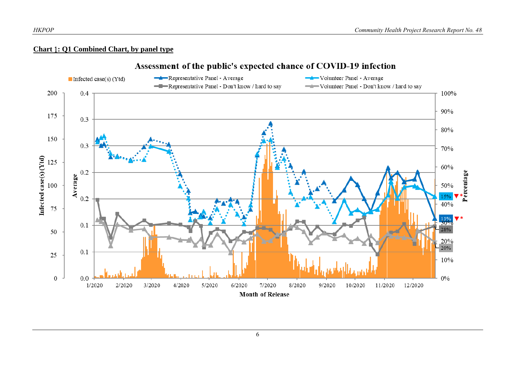#### **Chart** 1**: Q1 Combined Chart, by panel type**

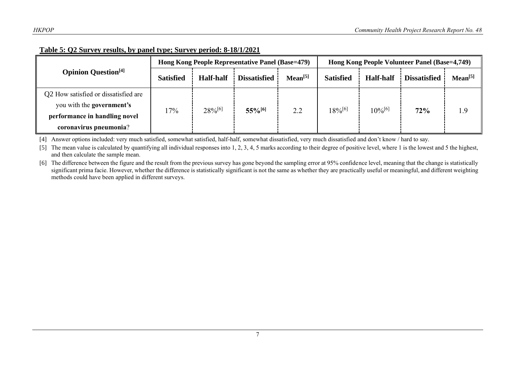| Table 5: Q2 Survey results, by panel type; Survey period: 8-18/1/2021 |
|-----------------------------------------------------------------------|
|-----------------------------------------------------------------------|

|                                        |                  |                  | Hong Kong People Representative Panel (Base=479) |                     | Hong Kong People Volunteer Panel (Base=4,749) |                  |                     |              |
|----------------------------------------|------------------|------------------|--------------------------------------------------|---------------------|-----------------------------------------------|------------------|---------------------|--------------|
| <b>Opinion Question</b> <sup>[4]</sup> | <b>Satisfied</b> | <b>Half-half</b> | <b>Dissatisfied</b>                              | Mean <sup>[5]</sup> | <b>Satisfied</b>                              | <b>Half-half</b> | <b>Dissatisfied</b> | $Mean^{[5]}$ |
| Q2 How satisfied or dissatisfied are   |                  |                  |                                                  |                     |                                               |                  |                     |              |
| you with the government's              | 17%              | $28\%^{[6]}$     | $55\%$ <sup>[6]</sup>                            | 2.2                 | $18\%^{[6]}$                                  | $10\%^{[6]}$     | 72%                 | 1.9          |
| performance in handling novel          |                  |                  |                                                  |                     |                                               |                  |                     |              |
| coronavirus pneumonia?                 |                  |                  |                                                  |                     |                                               |                  |                     |              |

[4] Answer options included: very much satisfied, somewhat satisfied, half-half, somewhat dissatisfied, very much dissatisfied and don't know / hard to say.

[5] The mean value is calculated by quantifying all individual responses into 1, 2, 3, 4, 5 marks according to their degree of positive level, where 1 is the lowest and 5 the highest, and then calculate the sample mean.

[6] The difference between the figure and the result from the previous survey has gone beyond the sampling error at 95% confidence level, meaning that the change is statistically significant prima facie. However, whether the difference is statistically significant is not the same as whether they are practically useful or meaningful, and different weighting methods could have been applied in different surveys.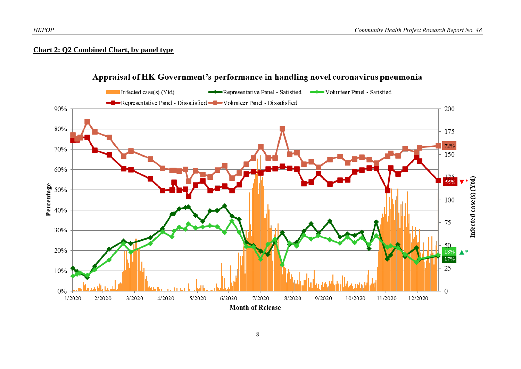#### **Chart 2: Q2 Combined Chart, by panel type**



# Appraisal of HK Government's performance in handling novel coronavirus pneumonia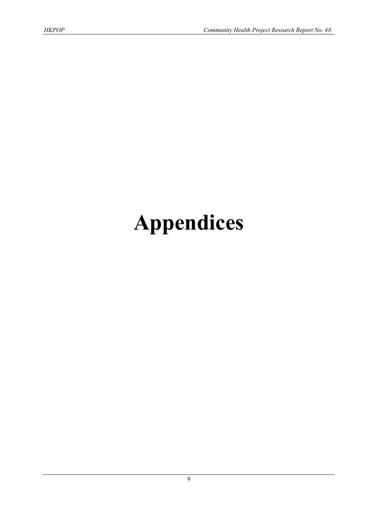# **Appendices**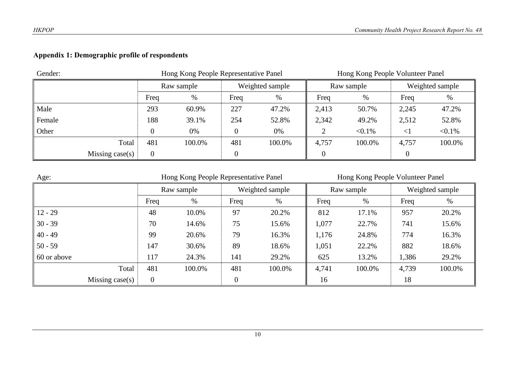# **Appendix 1: Demographic profile of respondents**

| Gender:<br>Hong Kong People Representative Panel |      |            |      |                 | Hong Kong People Volunteer Panel |            |        |                 |  |
|--------------------------------------------------|------|------------|------|-----------------|----------------------------------|------------|--------|-----------------|--|
|                                                  |      | Raw sample |      | Weighted sample |                                  | Raw sample |        | Weighted sample |  |
|                                                  | Freq | %          | Freq | %               | Freq                             | $\%$       | Freq   | %               |  |
| Male                                             | 293  | 60.9%      | 227  | 47.2%           | 2,413                            | 50.7%      | 2,245  | 47.2%           |  |
| Female                                           | 188  | 39.1%      | 254  | 52.8%           | 2,342                            | 49.2%      | 2,512  | 52.8%           |  |
| Other                                            |      | 0%         |      | 0%              |                                  | $< 0.1\%$  | $\leq$ | $< 0.1\%$       |  |
| Total                                            | 481  | 100.0%     | 481  | 100.0%          | 4,757                            | 100.0%     | 4,757  | 100.0%          |  |
| Missing case(s)                                  | 0    |            |      |                 |                                  |            |        |                 |  |

| Age:               | Hong Kong People Representative Panel |            |                |                 |       | Hong Kong People Volunteer Panel |                 |        |  |  |
|--------------------|---------------------------------------|------------|----------------|-----------------|-------|----------------------------------|-----------------|--------|--|--|
|                    |                                       | Raw sample |                | Weighted sample |       | Raw sample                       | Weighted sample |        |  |  |
|                    | Freq                                  | %          | Freq           | %               | Freq  | %                                | Freq            | %      |  |  |
| $12 - 29$          | 48                                    | 10.0%      | 97             | 20.2%           | 812   | 17.1%                            | 957             | 20.2%  |  |  |
| $30 - 39$          | 70                                    | 14.6%      | 75             | 15.6%           | 1,077 | 22.7%                            | 741             | 15.6%  |  |  |
| $40 - 49$          | 99                                    | 20.6%      | 79             | 16.3%           | 1,176 | 24.8%                            | 774             | 16.3%  |  |  |
| $50 - 59$          | 147                                   | 30.6%      | 89             | 18.6%           | 1,051 | 22.2%                            | 882             | 18.6%  |  |  |
| 60 or above        | 117                                   | 24.3%      | 141            | 29.2%           | 625   | 13.2%                            | 1,386           | 29.2%  |  |  |
| Total              | 481                                   | 100.0%     | 481            | 100.0%          | 4,741 | 100.0%                           | 4,739           | 100.0% |  |  |
| Missing case $(s)$ | 0                                     |            | $\overline{0}$ |                 | 16    |                                  | 18              |        |  |  |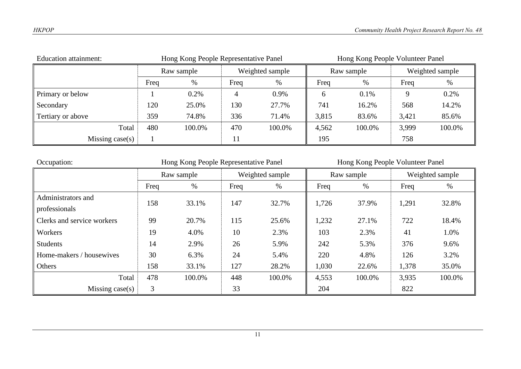| <b>Education attainment:</b> | Hong Kong People Representative Panel |        |      |                 |       | Hong Kong People Volunteer Panel |       |                 |  |  |
|------------------------------|---------------------------------------|--------|------|-----------------|-------|----------------------------------|-------|-----------------|--|--|
|                              | Raw sample                            |        |      | Weighted sample |       | Raw sample                       |       | Weighted sample |  |  |
|                              | Freq                                  | %      | Freq | $\%$            | Freq  | $\%$                             | Freq  | $\%$            |  |  |
| Primary or below             |                                       | 0.2%   |      | 0.9%            | h     | 0.1%                             |       | 0.2%            |  |  |
| Secondary                    | 120                                   | 25.0%  | 130  | 27.7%           | 741   | 16.2%                            | 568   | 14.2%           |  |  |
| Tertiary or above            | 359                                   | 74.8%  | 336  | 71.4%           | 3,815 | 83.6%                            | 3,421 | 85.6%           |  |  |
| Total                        | 480                                   | 100.0% | 470  | 100.0%          | 4,562 | 100.0%                           | 3,999 | 100.0%          |  |  |
| Missing case $(s)$           |                                       |        | 11   |                 | 195   |                                  | 758   |                 |  |  |

| Occupation:                | Hong Kong People Representative Panel |            |      |                 | Hong Kong People Volunteer Panel |            |                 |        |  |
|----------------------------|---------------------------------------|------------|------|-----------------|----------------------------------|------------|-----------------|--------|--|
|                            |                                       | Raw sample |      | Weighted sample |                                  | Raw sample | Weighted sample |        |  |
|                            | Freq                                  | $\%$       | Freq | $\%$            | Freq                             | %          | Freq            | $\%$   |  |
| Administrators and         | 158                                   | 33.1%      | 147  | 32.7%           | 1,726                            | 37.9%      | 1,291           | 32.8%  |  |
| professionals              |                                       |            |      |                 |                                  |            |                 |        |  |
| Clerks and service workers | 99                                    | 20.7%      | 115  | 25.6%           | 1,232                            | 27.1%      | 722             | 18.4%  |  |
| Workers                    | 19                                    | 4.0%       | 10   | 2.3%            | 103                              | 2.3%       | 41              | 1.0%   |  |
| <b>Students</b>            | 14                                    | 2.9%       | 26   | 5.9%            | 242                              | 5.3%       | 376             | 9.6%   |  |
| Home-makers / housewives   | 30                                    | 6.3%       | 24   | 5.4%            | 220                              | 4.8%       | 126             | 3.2%   |  |
| Others                     | 158                                   | 33.1%      | 127  | 28.2%           | 1,030                            | 22.6%      | 1,378           | 35.0%  |  |
| Total                      | 478                                   | 100.0%     | 448  | 100.0%          | 4,553                            | 100.0%     | 3,935           | 100.0% |  |
| Missing case $(s)$         | 3                                     |            | 33   |                 | 204                              |            | 822             |        |  |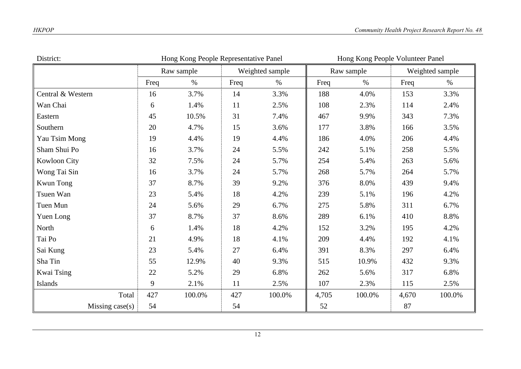| District:         | Hong Kong People Representative Panel<br>Hong Kong People Volunteer Panel |        |      |                 |       |            |       |                 |  |
|-------------------|---------------------------------------------------------------------------|--------|------|-----------------|-------|------------|-------|-----------------|--|
|                   | Raw sample                                                                |        |      | Weighted sample |       | Raw sample |       | Weighted sample |  |
|                   | Freq                                                                      | $\%$   | Freq | $\%$            | Freq  | $\%$       | Freq  | $\%$            |  |
| Central & Western | 16                                                                        | 3.7%   | 14   | 3.3%            | 188   | 4.0%       | 153   | 3.3%            |  |
| Wan Chai          | 6                                                                         | 1.4%   | 11   | 2.5%            | 108   | 2.3%       | 114   | 2.4%            |  |
| Eastern           | 45                                                                        | 10.5%  | 31   | 7.4%            | 467   | 9.9%       | 343   | 7.3%            |  |
| Southern          | 20                                                                        | 4.7%   | 15   | 3.6%            | 177   | 3.8%       | 166   | 3.5%            |  |
| Yau Tsim Mong     | 19                                                                        | 4.4%   | 19   | 4.4%            | 186   | 4.0%       | 206   | 4.4%            |  |
| Sham Shui Po      | 16                                                                        | 3.7%   | 24   | 5.5%            | 242   | 5.1%       | 258   | 5.5%            |  |
| Kowloon City      | 32                                                                        | 7.5%   | 24   | 5.7%            | 254   | 5.4%       | 263   | 5.6%            |  |
| Wong Tai Sin      | 16                                                                        | 3.7%   | 24   | 5.7%            | 268   | 5.7%       | 264   | 5.7%            |  |
| <b>Kwun Tong</b>  | 37                                                                        | 8.7%   | 39   | 9.2%            | 376   | 8.0%       | 439   | 9.4%            |  |
| Tsuen Wan         | 23                                                                        | 5.4%   | 18   | 4.2%            | 239   | 5.1%       | 196   | 4.2%            |  |
| Tuen Mun          | 24                                                                        | 5.6%   | 29   | 6.7%            | 275   | 5.8%       | 311   | 6.7%            |  |
| Yuen Long         | 37                                                                        | 8.7%   | 37   | 8.6%            | 289   | 6.1%       | 410   | 8.8%            |  |
| North             | 6                                                                         | 1.4%   | 18   | 4.2%            | 152   | 3.2%       | 195   | 4.2%            |  |
| Tai Po            | 21                                                                        | 4.9%   | 18   | 4.1%            | 209   | 4.4%       | 192   | 4.1%            |  |
| Sai Kung          | 23                                                                        | 5.4%   | 27   | 6.4%            | 391   | 8.3%       | 297   | 6.4%            |  |
| Sha Tin           | 55                                                                        | 12.9%  | 40   | 9.3%            | 515   | 10.9%      | 432   | 9.3%            |  |
| Kwai Tsing        | 22                                                                        | 5.2%   | 29   | 6.8%            | 262   | 5.6%       | 317   | 6.8%            |  |
| Islands           | 9                                                                         | 2.1%   | 11   | 2.5%            | 107   | 2.3%       | 115   | 2.5%            |  |
| Total             | 427                                                                       | 100.0% | 427  | 100.0%          | 4,705 | 100.0%     | 4,670 | 100.0%          |  |
| Missing case(s)   | 54                                                                        |        | 54   |                 | 52    |            | 87    |                 |  |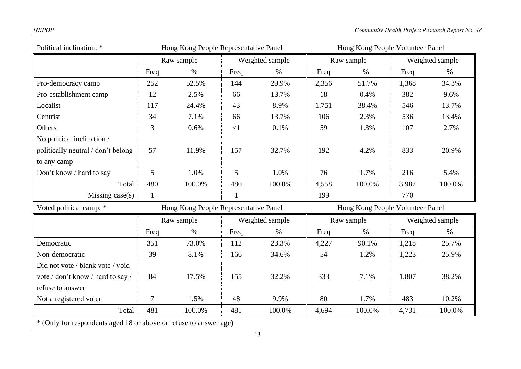| Political inclination: *           |                | Hong Kong People Representative Panel |              |                 | Hong Kong People Volunteer Panel |                                  |                 |                 |  |
|------------------------------------|----------------|---------------------------------------|--------------|-----------------|----------------------------------|----------------------------------|-----------------|-----------------|--|
|                                    |                | Raw sample                            |              | Weighted sample | Raw sample                       |                                  |                 | Weighted sample |  |
|                                    | Freq           | $\%$                                  | Freq         | $\%$            | Freq                             | $\%$                             | Freq            | $\%$            |  |
| Pro-democracy camp                 | 252            | 52.5%                                 | 144          | 29.9%           | 2,356                            | 51.7%                            | 1,368           | 34.3%           |  |
| Pro-establishment camp             | 12             | 2.5%                                  | 66           | 13.7%           | 18                               | 0.4%                             | 382             | 9.6%            |  |
| Localist                           | 117            | 24.4%                                 | 43           | 8.9%            | 1,751                            | 38.4%                            | 546             | 13.7%           |  |
| Centrist                           | 34             | 7.1%                                  | 66           | 13.7%           | 106                              | 2.3%                             | 536             | 13.4%           |  |
| Others                             | 3              | 0.6%                                  | $\leq$ 1     | 0.1%            | 59                               | 1.3%                             | 107             | 2.7%            |  |
| No political inclination /         |                |                                       |              |                 |                                  |                                  |                 |                 |  |
| politically neutral / don't belong | 57             | 11.9%                                 | 157          | 32.7%           | 192                              | 4.2%                             | 833             | 20.9%           |  |
| to any camp                        |                |                                       |              |                 |                                  |                                  |                 |                 |  |
| Don't know / hard to say           | 5              | 1.0%                                  | 5            | 1.0%            | 76                               | 1.7%                             | 216             | 5.4%            |  |
| Total                              | 480            | 100.0%                                | 480          | 100.0%          | 4,558                            | 100.0%                           | 3,987           | 100.0%          |  |
| Missing $case(s)$                  | $\mathbf{1}$   |                                       | $\mathbf{1}$ |                 | 199                              |                                  | 770             |                 |  |
| Voted political camp: *            |                | Hong Kong People Representative Panel |              |                 |                                  | Hong Kong People Volunteer Panel |                 |                 |  |
|                                    |                | Weighted sample<br>Raw sample         |              |                 | Raw sample                       |                                  | Weighted sample |                 |  |
|                                    | Freq           | $\%$                                  | Freq         | $\%$            | Freq                             | $\%$                             | Freq            | $\%$            |  |
| Democratic                         | 351            | 73.0%                                 | 112          | 23.3%           | 4,227                            | 90.1%                            | 1,218           | 25.7%           |  |
| Non-democratic                     | 39             | 8.1%                                  | 166          | 34.6%           | 54                               | 1.2%                             | 1,223           | 25.9%           |  |
| Did not vote / blank vote / void   |                |                                       |              |                 |                                  |                                  |                 |                 |  |
| vote / don't know / hard to say /  | 84             | 17.5%                                 | 155          | 32.2%           | 333                              | 7.1%                             | 1,807           | 38.2%           |  |
| refuse to answer                   |                |                                       |              |                 |                                  |                                  |                 |                 |  |
| Not a registered voter             | $\overline{7}$ | 1.5%                                  | 48           | 9.9%            | 80                               | 1.7%                             | 483             | 10.2%           |  |
| Total                              | 481            | 100.0%                                | 481          | 100.0%          | 4,694                            | 100.0%                           | 4,731           | 100.0%          |  |

\* (Only for respondents aged 18 or above or refuse to answer age)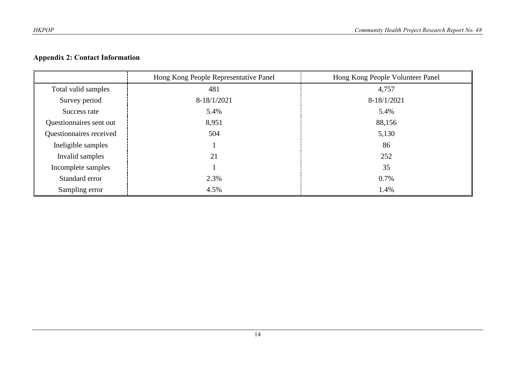# **Appendix 2: Contact Information**

|                         | Hong Kong People Representative Panel | Hong Kong People Volunteer Panel |
|-------------------------|---------------------------------------|----------------------------------|
| Total valid samples     | 481                                   | 4,757                            |
| Survey period           | $8-18/1/2021$                         | 8-18/1/2021                      |
| Success rate            | 5.4%                                  | 5.4%                             |
| Questionnaires sent out | 8,951                                 | 88,156                           |
| Questionnaires received | 504                                   | 5,130                            |
| Ineligible samples      |                                       | 86                               |
| Invalid samples         | 21                                    | 252                              |
| Incomplete samples      |                                       | 35                               |
| Standard error          | 2.3%                                  | 0.7%                             |
| Sampling error          | 4.5%                                  | 1.4%                             |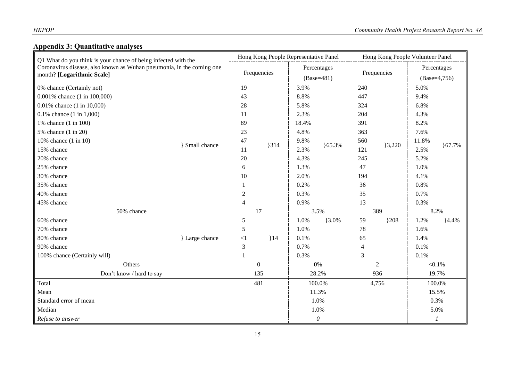# **Appendix 3: Quantitative analyses**

| Q1 What do you think is your chance of being infected with the<br>Coronavirus disease, also known as Wuhan pneumonia, in the coming one<br>month? [Logarithmic Scale] |                     | Hong Kong People Representative Panel |              | Hong Kong People Volunteer Panel |          |                |              |                |            |
|-----------------------------------------------------------------------------------------------------------------------------------------------------------------------|---------------------|---------------------------------------|--------------|----------------------------------|----------|----------------|--------------|----------------|------------|
|                                                                                                                                                                       |                     | Frequencies                           |              | Percentages                      |          | Frequencies    |              | Percentages    |            |
|                                                                                                                                                                       |                     |                                       |              | $(Base=481)$                     |          |                |              | $(Base=4,756)$ |            |
| 0% chance (Certainly not)                                                                                                                                             |                     | 19                                    |              | 3.9%                             |          | 240            |              | 5.0%           |            |
| 0.001% chance (1 in 100,000)                                                                                                                                          |                     | 43                                    |              | 8.8%                             |          | 447            |              | 9.4%           |            |
| 0.01% chance (1 in 10,000)                                                                                                                                            |                     | 28                                    |              | 5.8%                             |          | 324            |              | 6.8%           |            |
| $0.1\%$ chance $(1 \text{ in } 1,000)$                                                                                                                                |                     | 11                                    |              | 2.3%                             |          | 204            |              | 4.3%           |            |
| 1% chance (1 in 100)                                                                                                                                                  |                     | 89                                    |              | 18.4%                            |          | 391            |              | 8.2%           |            |
| 5% chance (1 in 20)                                                                                                                                                   |                     | 23                                    |              | 4.8%                             |          | 363            |              | 7.6%           |            |
| 10% chance $(1 \text{ in } 10)$                                                                                                                                       | <b>Small chance</b> | 47                                    | 314          | 9.8%                             | 165.3%   | 560            |              | 11.8%          |            |
| 15% chance                                                                                                                                                            |                     | 11                                    |              | 2.3%                             |          | 121            | 3,220        | 2.5%           | ${67.7\%}$ |
| 20% chance                                                                                                                                                            |                     | 20                                    |              | 4.3%                             |          | 245            |              | 5.2%           |            |
| 25% chance                                                                                                                                                            |                     | $\sqrt{6}$                            |              | 1.3%                             |          | 47             |              | 1.0%           |            |
| 30% chance                                                                                                                                                            |                     | 10                                    |              | 2.0%                             |          | 194            |              | 4.1%           |            |
| 35% chance                                                                                                                                                            |                     | 1                                     |              | 0.2%                             |          | 36             |              | 0.8%           |            |
| 40% chance                                                                                                                                                            |                     | $\sqrt{2}$                            |              | 0.3%                             |          | 35             |              | 0.7%           |            |
| 45% chance                                                                                                                                                            |                     | $\overline{4}$                        |              | 0.9%                             |          | 13             |              | 0.3%           |            |
| 50% chance                                                                                                                                                            |                     |                                       | 17           |                                  | 3.5%     |                | 389          |                | 8.2%       |
| 60% chance                                                                                                                                                            |                     | $\mathfrak{S}$                        |              | 1.0%                             | $3.0\%$  | 59             | ${208}$      | 1.2%           | 4.4%       |
| 70% chance                                                                                                                                                            |                     | 5                                     |              | 1.0%                             |          | 78             |              | 1.6%           |            |
| 80% chance                                                                                                                                                            | } Large chance      | $\leq$ 1                              | 14           | 0.1%                             |          | 65             |              | 1.4%           |            |
| 90% chance                                                                                                                                                            |                     | $\mathfrak{Z}$                        |              | 0.7%                             |          | $\overline{4}$ |              | 0.1%           |            |
| 100% chance (Certainly will)                                                                                                                                          |                     | $\mathbf{1}$                          |              | 0.3%                             |          | $\overline{3}$ |              | 0.1%           |            |
| Others                                                                                                                                                                |                     |                                       | $\mathbf{0}$ |                                  | $0\%$    |                | $\mathbf{2}$ |                | $< 0.1\%$  |
| Don't know / hard to say                                                                                                                                              |                     | 135                                   |              | 28.2%                            |          | 936            |              | 19.7%          |            |
| Total                                                                                                                                                                 |                     |                                       | 481          |                                  | 100.0%   |                | 4,756        |                | 100.0%     |
| Mean                                                                                                                                                                  |                     |                                       |              |                                  | 11.3%    |                |              |                | 15.5%      |
| Standard error of mean                                                                                                                                                |                     |                                       |              |                                  | 1.0%     |                |              |                | 0.3%       |
| Median                                                                                                                                                                |                     |                                       |              | 1.0%                             |          |                |              | 5.0%           |            |
| Refuse to answer                                                                                                                                                      |                     |                                       |              |                                  | $\theta$ |                |              |                | 1          |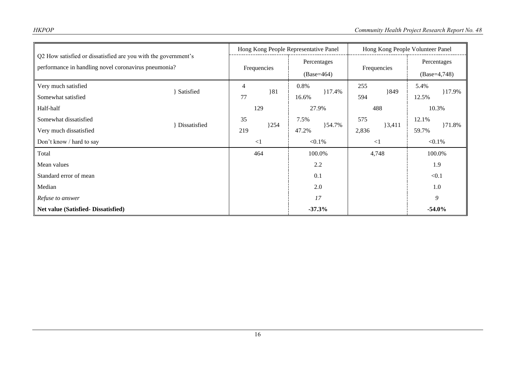| Q2 How satisfied or dissatisfied are you with the government's<br>performance in handling novel coronavirus pneumonia? |              | Hong Kong People Representative Panel |     |                             | Hong Kong People Volunteer Panel |             |       |                |        |
|------------------------------------------------------------------------------------------------------------------------|--------------|---------------------------------------|-----|-----------------------------|----------------------------------|-------------|-------|----------------|--------|
|                                                                                                                        |              | Frequencies                           |     | Percentages<br>$(Base=464)$ |                                  | Frequencies |       | Percentages    |        |
|                                                                                                                        |              |                                       |     |                             |                                  |             |       | $(Base=4,748)$ |        |
| Very much satisfied                                                                                                    |              | 4                                     |     | 0.8%                        |                                  | 255         |       | 5.4%           |        |
| Somewhat satisfied                                                                                                     | Satisfied    | 77                                    | 81  | 16.6%                       | 17.4%                            | 849<br>594  | 12.5% | $17.9\%$       |        |
| Half-half                                                                                                              |              | 129                                   |     |                             | 27.9%                            |             | 488   | 10.3%          |        |
| Somewhat dissatisfied                                                                                                  | Dissatisfied | 35                                    | 254 | 7.5%                        | $\}54.7\%$                       | 575         | 3,411 | 12.1%          | }71.8% |
| Very much dissatisfied                                                                                                 |              | 219                                   |     | 47.2%                       |                                  | 2,836       |       | 59.7%          |        |
| Don't know / hard to say                                                                                               |              | $\leq$ 1                              |     | $< 0.1\%$                   |                                  | $\leq$ 1    |       | $< 0.1\%$      |        |
| Total                                                                                                                  |              | 464                                   |     |                             | 100.0%                           |             | 4,748 | 100.0%         |        |
| Mean values                                                                                                            |              |                                       |     |                             | 2.2                              |             |       | 1.9            |        |
| Standard error of mean                                                                                                 |              |                                       |     |                             | 0.1                              |             |       | < 0.1          |        |
| Median                                                                                                                 |              |                                       |     |                             | 2.0                              |             |       | 1.0            |        |
| Refuse to answer                                                                                                       |              |                                       |     |                             | 17                               |             |       | 9              |        |
| <b>Net value (Satisfied- Dissatisfied)</b>                                                                             |              |                                       |     |                             | $-37.3%$                         |             |       | $-54.0%$       |        |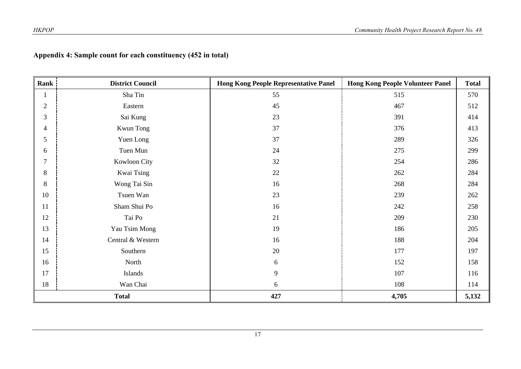# **Appendix 4: Sample count for each constituency (452 in total)**

| Rank           | <b>District Council</b> | <b>Hong Kong People Representative Panel</b> | <b>Hong Kong People Volunteer Panel</b> | <b>Total</b> |
|----------------|-------------------------|----------------------------------------------|-----------------------------------------|--------------|
| $\mathbf{1}$   | Sha Tin                 | 55                                           | 515                                     | 570          |
| $\overline{2}$ | Eastern                 | 45                                           | 467                                     | 512          |
| 3              | Sai Kung                | 23                                           | 391                                     | 414          |
| $\overline{4}$ | Kwun Tong               | 37                                           | 376                                     | 413          |
| 5              | Yuen Long               | 37                                           | 289                                     | 326          |
| 6              | Tuen Mun                | 24                                           | 275                                     | 299          |
| $\tau$         | Kowloon City            | 32                                           | 254                                     | 286          |
| 8              | Kwai Tsing              | $22\,$                                       | 262                                     | 284          |
| 8              | Wong Tai Sin            | 16                                           | 268                                     | 284          |
| 10             | Tsuen Wan               | 23                                           | 239                                     | 262          |
| 11             | Sham Shui Po            | 16                                           | 242                                     | 258          |
| 12             | Tai Po                  | 21                                           | 209                                     | 230          |
| 13             | Yau Tsim Mong           | 19                                           | 186                                     | 205          |
| 14             | Central & Western       | 16                                           | 188                                     | 204          |
| 15             | Southern                | 20                                           | 177                                     | 197          |
| 16             | North                   | $6\,$                                        | 152                                     | 158          |
| 17             | Islands                 | 9                                            | 107                                     | 116          |
| 18             | Wan Chai                | 6                                            | 108                                     | 114          |
|                | <b>Total</b>            | 427                                          | 4,705                                   | 5,132        |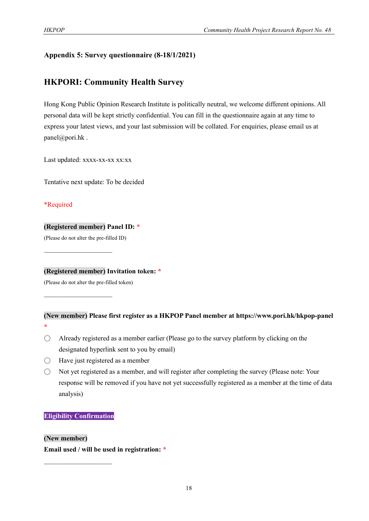#### **Appendix 5: Survey questionnaire (8-18/1/2021)**

## **HKPORI: Community Health Survey**

Hong Kong Public Opinion Research Institute is politically neutral, we welcome different opinions. All personal data will be kept strictly confidential. You can fill in the questionnaire again at any time to express your latest views, and your last submission will be collated. For enquiries, please email us at panel@pori.hk .

Last updated: xxxx-xx-xx xx:xx

Tentative next update: To be decided

#### \*Required

**\***

#### **(Registered member) Panel ID: \***

(Please do not alter the pre-filled ID)

**(Registered member) Invitation token: \***

(Please do not alter the pre-filled token)

 $\mathcal{L}_\text{max}$  , where  $\mathcal{L}_\text{max}$ 

#### **(New member) Please first register as a HKPOP Panel member at https://www.pori.hk/hkpop-panel**

- $\bigcirc$  Already registered as a member earlier (Please go to the survey platform by clicking on the designated hyperlink sent to you by email)
- Have just registered as a member
- Not yet registered as a member, and will register after completing the survey (Please note: Your response will be removed if you have not yet successfully registered as a member at the time of data analysis)

#### **Eligibility Confirmation**

 $\mathcal{L}_\text{max}$ 

**(New member)**

**Email used / will be used in registration: \***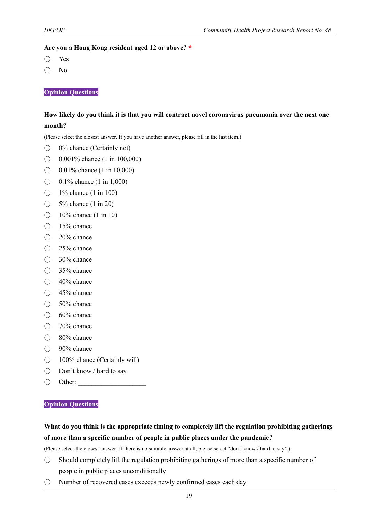#### **Are you a Hong Kong resident aged 12 or above? \***

- Yes
- No

**Opinion Questions**

#### **How likely do you think it is that you will contract novel coronavirus pneumonia over the next one month?**

(Please select the closest answer. If you have another answer, please fill in the last item.)

- $\bigcirc$  0% chance (Certainly not)
- $\bigcirc$  0.001% chance (1 in 100,000)
- $\bigcirc$  0.01% chance (1 in 10,000)
- $\bigcirc$  0.1% chance (1 in 1,000)
- $\bigcirc$  1% chance (1 in 100)
- $\bigcirc$  5% chance (1 in 20)
- $\bigcirc$  10% chance (1 in 10)
- $\bigcirc$  15% chance
- 20% chance
- $\bigcirc$  25% chance
- 30% chance
- 35% chance
- $\bigcirc$  40% chance
- 45% chance
- 50% chance
- 60% chance
- 70% chance
- 80% chance
- 90% chance
- 100% chance (Certainly will)
- Don't know / hard to say
- $\bigcirc$  Other:

#### **Opinion Questions**

#### **What do you think is the appropriate timing to completely lift the regulation prohibiting gatherings of more than a specific number of people in public places under the pandemic?**

(Please select the closest answer; If there is no suitable answer at all, please select "don't know / hard to say".)

- $\bigcirc$  Should completely lift the regulation prohibiting gatherings of more than a specific number of people in public places unconditionally
- Number of recovered cases exceeds newly confirmed cases each day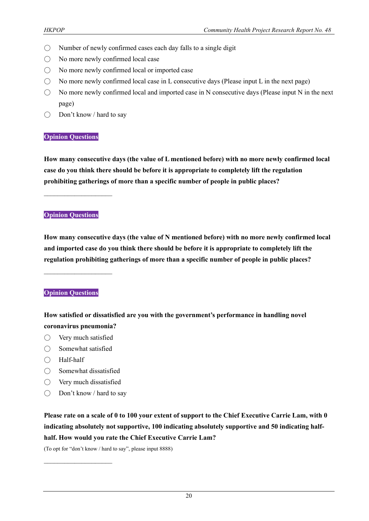- Number of newly confirmed cases each day falls to a single digit
- No more newly confirmed local case
- No more newly confirmed local or imported case
- $\bigcirc$  No more newly confirmed local case in L consecutive days (Please input L in the next page)
- $\bigcirc$  No more newly confirmed local and imported case in N consecutive days (Please input N in the next page)
- $\bigcirc$  Don't know / hard to say

#### **Opinion Questions**

**How many consecutive days (the value of L mentioned before) with no more newly confirmed local case do you think there should be before it is appropriate to completely lift the regulation prohibiting gatherings of more than a specific number of people in public places?**

#### **Opinion Questions**

 $\mathcal{L}_\text{max}$ 

**How many consecutive days (the value of N mentioned before) with no more newly confirmed local and imported case do you think there should be before it is appropriate to completely lift the regulation prohibiting gatherings of more than a specific number of people in public places?**

 $\mathcal{L}_\text{max}$ 

#### **Opinion Questions**

**How satisfied or dissatisfied are you with the government's performance in handling novel coronavirus pneumonia?**

- Very much satisfied
- Somewhat satisfied
- Half-half
- Somewhat dissatisfied
- Very much dissatisfied

 $\mathcal{L}_\text{max}$  , where  $\mathcal{L}_\text{max}$ 

○ Don't know / hard to say

**Please rate on a scale of 0 to 100 your extent of support to the Chief Executive Carrie Lam, with 0 indicating absolutely not supportive, 100 indicating absolutely supportive and 50 indicating halfhalf. How would you rate the Chief Executive Carrie Lam?**

(To opt for "don't know / hard to say", please input 8888)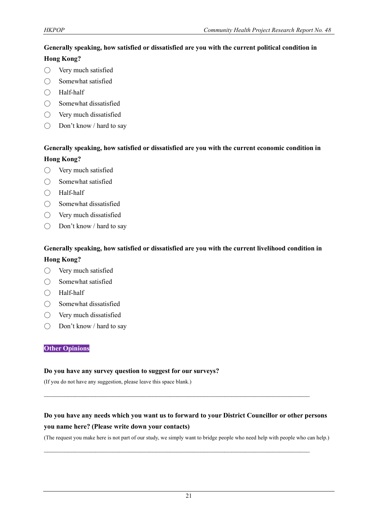# **Generally speaking, how satisfied or dissatisfied are you with the current political condition in**

#### **Hong Kong?**

- Very much satisfied
- Somewhat satisfied
- Half-half
- Somewhat dissatisfied
- Very much dissatisfied
- Don't know / hard to say

## **Generally speaking, how satisfied or dissatisfied are you with the current economic condition in Hong Kong?**

- Very much satisfied
- Somewhat satisfied
- Half-half
- Somewhat dissatisfied
- Very much dissatisfied
- Don't know / hard to say

## **Generally speaking, how satisfied or dissatisfied are you with the current livelihood condition in Hong Kong?**

- Very much satisfied
- Somewhat satisfied
- Half-half
- Somewhat dissatisfied
- Very much dissatisfied
- Don't know / hard to say

#### **Other Opinions**

#### **Do you have any survey question to suggest for our surveys?**

(If you do not have any suggestion, please leave this space blank.)

# **Do you have any needs which you want us to forward to your District Councillor or other persons you name here? (Please write down your contacts)**

 $\mathcal{L}_\text{max}$  and  $\mathcal{L}_\text{max}$  and  $\mathcal{L}_\text{max}$  and  $\mathcal{L}_\text{max}$  and  $\mathcal{L}_\text{max}$  and  $\mathcal{L}_\text{max}$ 

 $\mathcal{L}_\text{max}$  and  $\mathcal{L}_\text{max}$  and  $\mathcal{L}_\text{max}$  and  $\mathcal{L}_\text{max}$  and  $\mathcal{L}_\text{max}$  and  $\mathcal{L}_\text{max}$ 

(The request you make here is not part of our study, we simply want to bridge people who need help with people who can help.)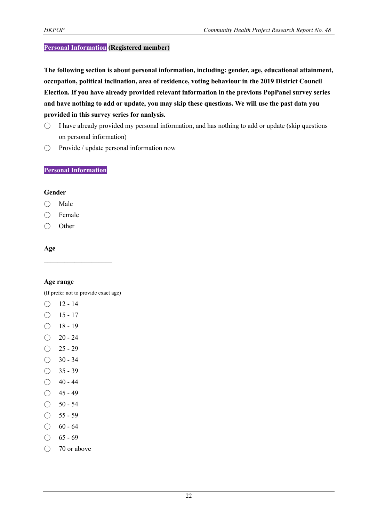#### **Personal Information (Registered member)**

**The following section is about personal information, including: gender, age, educational attainment, occupation, political inclination, area of residence, voting behaviour in the 2019 District Council Election. If you have already provided relevant information in the previous PopPanel survey series and have nothing to add or update, you may skip these questions. We will use the past data you provided in this survey series for analysis.**

- $\bigcirc$  I have already provided my personal information, and has nothing to add or update (skip questions on personal information)
- Provide / update personal information now

#### **Personal Information**

#### **Gender**

- Male
- Female
- Other

#### **Age**

#### **Age range**

(If prefer not to provide exact age)

 $\mathcal{L}_\text{max}$ 

- $\bigcirc$  12 14
- $\bigcirc$  15 17
- $\bigcirc$  18 19
- $\bigcirc$  20 24
- $O$  25 29
- $\bigcirc$  30 34
- $\bigcirc$  35 39
- $\bigcirc$  40 44
- $\bigcirc$  45 49
- $\bigcirc$  50 54
- $\bigcirc$  55 59
- $\bigcirc$  60 64
- $\bigcirc$  65 69
- $\bigcirc$  70 or above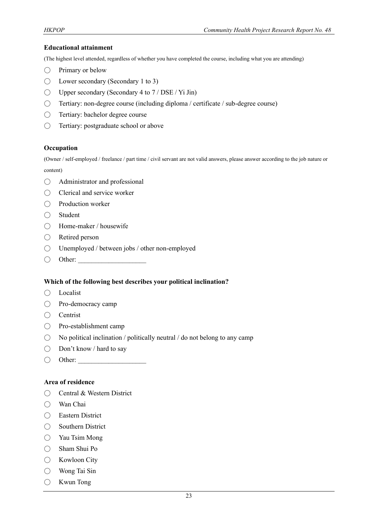#### **Educational attainment**

(The highest level attended, regardless of whether you have completed the course, including what you are attending)

- Primary or below
- $\bigcirc$  Lower secondary (Secondary 1 to 3)
- $\bigcirc$  Upper secondary (Secondary 4 to 7 / DSE / Yi Jin)
- Tertiary: non-degree course (including diploma / certificate / sub-degree course)
- Tertiary: bachelor degree course
- ◯ Tertiary: postgraduate school or above

#### **Occupation**

(Owner / self-employed / freelance / part time / civil servant are not valid answers, please answer according to the job nature or content)

- Administrator and professional
- Clerical and service worker
- Production worker
- Student
- Home-maker / housewife
- Retired person
- Unemployed / between jobs / other non-employed
- $\bigcirc$  Other:

#### **Which of the following best describes your political inclination?**

- Localist
- Pro-democracy camp
- Centrist
- Pro-establishment camp
- $\bigcirc$  No political inclination / politically neutral / do not belong to any camp
- Don't know / hard to say
- $\bigcirc$  Other:

#### **Area of residence**

- Central & Western District
- Wan Chai
- Eastern District
- Southern District
- Yau Tsim Mong
- Sham Shui Po
- Kowloon City
- Wong Tai Sin
- Kwun Tong